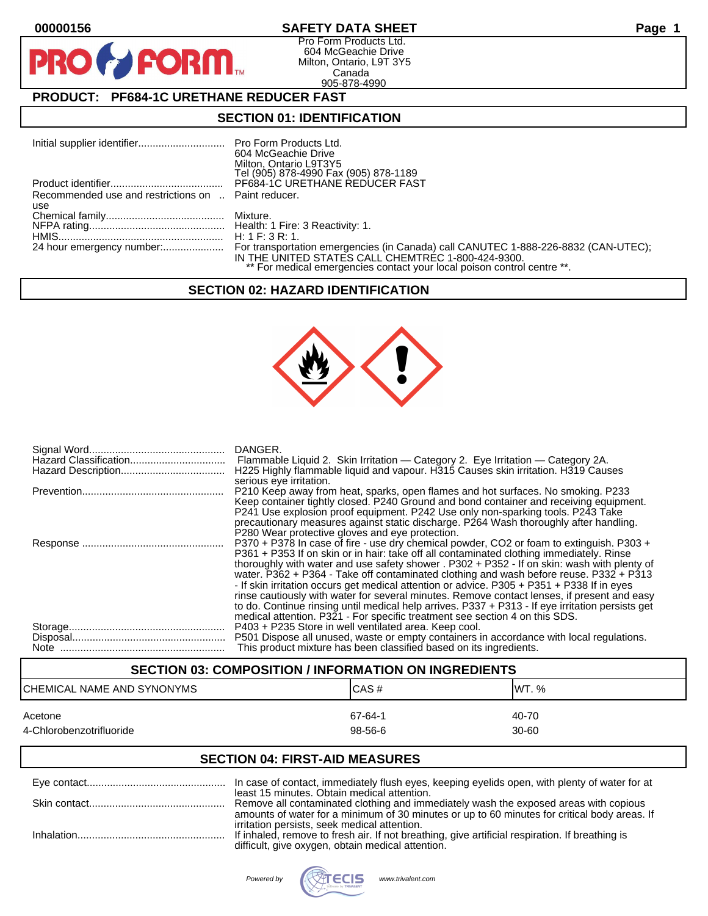**PR** 

# **00000156 SAFETY DATA SHEET Page 1**

Pro Form Products Ltd. 604 McGeachie Drive Milton, Ontario, L9T 3Y5 Canada 905-878-4990

# **PRODUCT: PF684-1C URETHANE REDUCER FAST**

**FORM** 

## **SECTION 01: IDENTIFICATION**

|                                                     | 604 McGeachie Drive<br>Milton, Ontario L9T3Y5<br>Tel (905) 878-4990 Fax (905) 878-1189                                        |
|-----------------------------------------------------|-------------------------------------------------------------------------------------------------------------------------------|
|                                                     | PF684-1C URETHANE REDUCER FAST                                                                                                |
| Recommended use and restrictions on  Paint reducer. |                                                                                                                               |
| use                                                 |                                                                                                                               |
|                                                     |                                                                                                                               |
|                                                     |                                                                                                                               |
|                                                     |                                                                                                                               |
|                                                     | IN THE UNITED STATES CALL CHEMTREC 1-800-424-9300.<br>** For medical emergencies contact your local poison control centre **. |

### **SECTION 02: HAZARD IDENTIFICATION**



| DANGER.<br>H225 Highly flammable liquid and vapour. H315 Causes skin irritation. H319 Causes                                                                                                                                                                                                                                                                                                                                                                                                                                                                                                                                                                                                                                                                                                                     |
|------------------------------------------------------------------------------------------------------------------------------------------------------------------------------------------------------------------------------------------------------------------------------------------------------------------------------------------------------------------------------------------------------------------------------------------------------------------------------------------------------------------------------------------------------------------------------------------------------------------------------------------------------------------------------------------------------------------------------------------------------------------------------------------------------------------|
| serious eye irritation.<br>P210 Keep away from heat, sparks, open flames and hot surfaces. No smoking. P233<br>Keep container tightly closed. P240 Ground and bond container and receiving equipment.<br>P241 Use explosion proof equipment. P242 Use only non-sparking tools. P243 Take<br>precautionary measures against static discharge. P264 Wash thoroughly after handling.                                                                                                                                                                                                                                                                                                                                                                                                                                |
| P280 Wear protective gloves and eye protection.<br>P370 + P378 In case of fire - use dry chemical powder, CO2 or foam to extinguish. P303 +<br>P361 + P353 If on skin or in hair: take off all contaminated clothing immediately. Rinse<br>thoroughly with water and use safety shower . P302 + P352 - If on skin: wash with plenty of<br>water. P362 + P364 - Take off contaminated clothing and wash before reuse. P332 + P313<br>- If skin irritation occurs get medical attention or advice. P305 + P351 + P338 If in eyes<br>rinse cautiously with water for several minutes. Remove contact lenses, if present and easy<br>to do. Continue rinsing until medical help arrives. P337 + P313 - If eye irritation persists get<br>medical attention. P321 - For specific treatment see section 4 on this SDS. |
| P403 + P235 Store in well ventilated area. Keep cool.<br>P501 Dispose all unused, waste or empty containers in accordance with local regulations.<br>This product mixture has been classified based on its ingredients.                                                                                                                                                                                                                                                                                                                                                                                                                                                                                                                                                                                          |

## **SECTION 03: COMPOSITION / INFORMATION ON INGREDIENTS**

| CHEMICAL NAME AND SYNONYMS | ICAS#   | IWT. %    |
|----------------------------|---------|-----------|
| Acetone                    | 67-64-1 | 40-70     |
| 4-Chlorobenzotrifluoride   | 98-56-6 | $30 - 60$ |

## **SECTION 04: FIRST-AID MEASURES**

| In case of contact, immediately flush eyes, keeping eyelids open, with plenty of water for at                                                        |
|------------------------------------------------------------------------------------------------------------------------------------------------------|
| least 15 minutes. Obtain medical attention.                                                                                                          |
| Remove all contaminated clothing and immediately wash the exposed areas with copious                                                                 |
| amounts of water for a minimum of 30 minutes or up to 60 minutes for critical body areas. If                                                         |
| irritation persists, seek medical attention.                                                                                                         |
| If inhaled, remove to fresh air. If not breathing, give artificial respiration. If breathing is<br>difficult, give oxygen, obtain medical attention. |

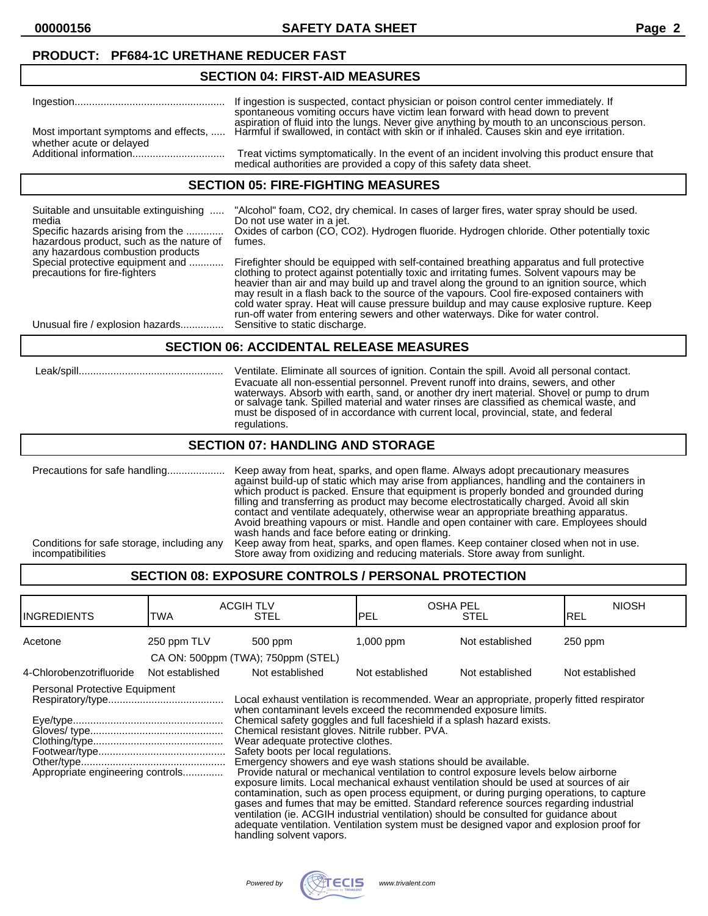**00000156 SAFETY DATA SHEET Page 2**

## **PRODUCT: PF684-1C URETHANE REDUCER FAST**

#### **SECTION 04: FIRST-AID MEASURES**

|                          | spontaneous vomiting occurs have victim lean forward with head down to prevent                                                                                                                                               |
|--------------------------|------------------------------------------------------------------------------------------------------------------------------------------------------------------------------------------------------------------------------|
| whether acute or delayed | aspiration of fluid into the lungs. Never give anything by mouth to an unconscious person.<br>Most important symptoms and effects,  Harmful if swallowed, in contact with skin or if inhaled. Causes skin and eye irritation |
|                          | Treat victims symptomatically. In the event of an incident involving this product ensure that<br>medical authorities are provided a copy of this safety data sheet.                                                          |

### **SECTION 05: FIRE-FIGHTING MEASURES**

| Suitable and unsuitable extinguishing<br>media<br>Specific hazards arising from the<br>hazardous product, such as the nature of<br>any hazardous combustion products | "Alcohol" foam, CO2, dry chemical. In cases of larger fires, water spray should be used.<br>Do not use water in a jet.<br>Oxides of carbon (CO, CO2). Hydrogen fluoride. Hydrogen chloride. Other potentially toxic<br>fumes.                                                                                                                                                                                                                                                                                                                                       |
|----------------------------------------------------------------------------------------------------------------------------------------------------------------------|---------------------------------------------------------------------------------------------------------------------------------------------------------------------------------------------------------------------------------------------------------------------------------------------------------------------------------------------------------------------------------------------------------------------------------------------------------------------------------------------------------------------------------------------------------------------|
| Special protective equipment and<br>precautions for fire-fighters                                                                                                    | Firefighter should be equipped with self-contained breathing apparatus and full protective<br>clothing to protect against potentially toxic and irritating fumes. Solvent vapours may be<br>heavier than air and may build up and travel along the ground to an ignition source, which<br>may result in a flash back to the source of the vapours. Cool fire-exposed containers with<br>cold water spray. Heat will cause pressure buildup and may cause explosive rupture. Keep<br>run-off water from entering sewers and other waterways. Dike for water control. |
| Unusual fire / explosion hazards                                                                                                                                     | Sensitive to static discharge.                                                                                                                                                                                                                                                                                                                                                                                                                                                                                                                                      |

### **SECTION 06: ACCIDENTAL RELEASE MEASURES**

| Leak/spill | Ventilate. Eliminate all sources of ignition. Contain the spill. Avoid all personal contact.<br>Evacuate all non-essential personnel. Prevent runoff into drains, sewers, and other<br>waterways. Absorb with earth, sand, or another dry inert material. Shovel or pump to drum<br>or salvage tank. Spilled material and water rinses are classified as chemical waste, and<br>must be disposed of in accordance with current local, provincial, state, and federal<br>regulations. |
|------------|--------------------------------------------------------------------------------------------------------------------------------------------------------------------------------------------------------------------------------------------------------------------------------------------------------------------------------------------------------------------------------------------------------------------------------------------------------------------------------------|
|------------|--------------------------------------------------------------------------------------------------------------------------------------------------------------------------------------------------------------------------------------------------------------------------------------------------------------------------------------------------------------------------------------------------------------------------------------------------------------------------------------|

### **SECTION 07: HANDLING AND STORAGE**

Precautions for safe handling.................... Keep away from heat, sparks, and open flame. Always adopt precautionary measures against build-up of static which may arise from appliances, handling and the containers in which product is packed. Ensure that equipment is properly bonded and grounded during filling and transferring as product may become electrostatically charged. Avoid all skin contact and ventilate adequately, otherwise wear an appropriate breathing apparatus. Avoid breathing vapours or mist. Handle and open container with care. Employees should wash hands and face before eating or drinking. Conditions for safe storage, including any Keep away from heat, sparks, and open flames. Keep container closed when not in use. incompatibilities Store away from oxidizing and reducing materials. Store away from sunlight.

## **SECTION 08: EXPOSURE CONTROLS / PERSONAL PROTECTION**

| <b>INGREDIENTS</b>                                                | TWA             | <b>ACGIH TLV</b><br>STEL                                                                                                                                                                                                                                                                                                                                                                                                                                                                                                                                                                                                                                                                                                                                                                                                                                                                                                                                                                                                  | <b>IPEL</b>     | <b>OSHA PEL</b><br>STEL | <b>NIOSH</b><br>IREL |
|-------------------------------------------------------------------|-----------------|---------------------------------------------------------------------------------------------------------------------------------------------------------------------------------------------------------------------------------------------------------------------------------------------------------------------------------------------------------------------------------------------------------------------------------------------------------------------------------------------------------------------------------------------------------------------------------------------------------------------------------------------------------------------------------------------------------------------------------------------------------------------------------------------------------------------------------------------------------------------------------------------------------------------------------------------------------------------------------------------------------------------------|-----------------|-------------------------|----------------------|
| Acetone                                                           | 250 ppm TLV     | 500 ppm                                                                                                                                                                                                                                                                                                                                                                                                                                                                                                                                                                                                                                                                                                                                                                                                                                                                                                                                                                                                                   | 1,000 ppm       | Not established         | $250$ ppm            |
|                                                                   |                 | CA ON: 500ppm (TWA); 750ppm (STEL)                                                                                                                                                                                                                                                                                                                                                                                                                                                                                                                                                                                                                                                                                                                                                                                                                                                                                                                                                                                        |                 |                         |                      |
| 4-Chlorobenzotrifluoride                                          | Not established | Not established                                                                                                                                                                                                                                                                                                                                                                                                                                                                                                                                                                                                                                                                                                                                                                                                                                                                                                                                                                                                           | Not established | Not established         | Not established      |
| Personal Protective Equipment<br>Appropriate engineering controls |                 | Local exhaust ventilation is recommended. Wear an appropriate, properly fitted respirator<br>when contaminant levels exceed the recommended exposure limits.<br>Chemical safety goggles and full faceshield if a splash hazard exists.<br>Chemical resistant gloves. Nitrile rubber. PVA.<br>Wear adequate protective clothes.<br>Safety boots per local regulations.<br>Emergency showers and eye wash stations should be available.<br>Provide natural or mechanical ventilation to control exposure levels below airborne<br>exposure limits. Local mechanical exhaust ventilation should be used at sources of air<br>contamination, such as open process equipment, or during purging operations, to capture<br>gases and fumes that may be emitted. Standard reference sources regarding industrial<br>ventilation (ie. ACGIH industrial ventilation) should be consulted for quidance about<br>adequate ventilation. Ventilation system must be designed vapor and explosion proof for<br>handling solvent vapors. |                 |                         |                      |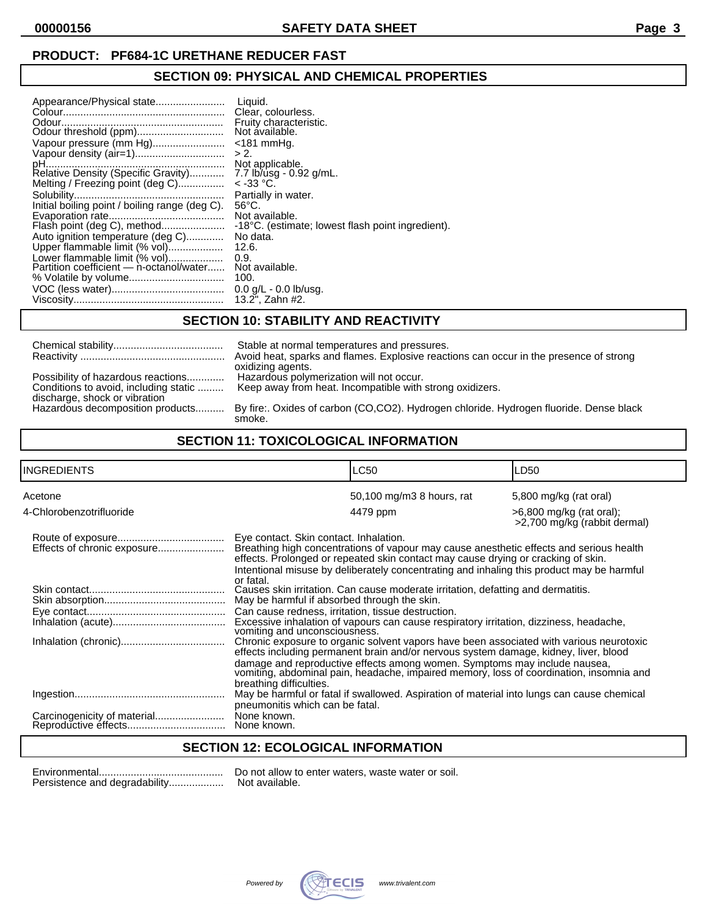# **PRODUCT: PF684-1C URETHANE REDUCER FAST**

# **SECTION 09: PHYSICAL AND CHEMICAL PROPERTIES**

| Vapour pressure (mm Hg)<br>> 2.<br>Melting / Freezing point (deg C)<br>Initial boiling point / boiling range (deg C).<br>Flash point (deg C), method<br>Auto ignition temperature (deg C)<br>Upper flammable limit (% vol)<br>Lower flammable limit (% vol)<br>0.9.<br>Partition coefficient - n-octanol/water<br>100. | Liquid.<br>Clear, colourless.<br>Fruity characteristic.<br>Not ávailable.<br>$<$ 181 mmHq.<br>Not applicable.<br>7.7 lb/usg - 0.92 g/mL.<br>$<$ -33 °C.<br>Partially in water.<br>$56^{\circ}$ C.<br>Not available.<br>-18°C. (estimate; lowest flash point ingredient).<br>No data.<br>12.6.<br>Not available.<br>$0.0$ g/L - $0.0$ lb/usg.<br>13.2". Zahn #2. |
|------------------------------------------------------------------------------------------------------------------------------------------------------------------------------------------------------------------------------------------------------------------------------------------------------------------------|-----------------------------------------------------------------------------------------------------------------------------------------------------------------------------------------------------------------------------------------------------------------------------------------------------------------------------------------------------------------|
|------------------------------------------------------------------------------------------------------------------------------------------------------------------------------------------------------------------------------------------------------------------------------------------------------------------------|-----------------------------------------------------------------------------------------------------------------------------------------------------------------------------------------------------------------------------------------------------------------------------------------------------------------------------------------------------------------|

# **SECTION 10: STABILITY AND REACTIVITY**

| Possibility of hazardous reactions<br>Conditions to avoid, including static<br>discharge, shock or vibration<br>Hazardous decomposition products |  |
|--------------------------------------------------------------------------------------------------------------------------------------------------|--|

Stable at normal temperatures and pressures. Avoid heat, sparks and flames. Explosive reactions can occur in the presence of strong oxidizing agents. Hazardous polymerization will not occur. Keep away from heat. Incompatible with strong oxidizers.

By fire:. Oxides of carbon (CO,CO2). Hydrogen chloride. Hydrogen fluoride. Dense black smoke.

## **SECTION 11: TOXICOLOGICAL INFORMATION**

| INGREDIENTS              | <b>LC50</b>                                                                                                                                                                                                                                                                                                                                                                                                                                                                                                                                                                                                                                                                                                          | LD50                                                       |  |
|--------------------------|----------------------------------------------------------------------------------------------------------------------------------------------------------------------------------------------------------------------------------------------------------------------------------------------------------------------------------------------------------------------------------------------------------------------------------------------------------------------------------------------------------------------------------------------------------------------------------------------------------------------------------------------------------------------------------------------------------------------|------------------------------------------------------------|--|
| Acetone                  | 50,100 mg/m3 8 hours, rat                                                                                                                                                                                                                                                                                                                                                                                                                                                                                                                                                                                                                                                                                            | 5,800 mg/kg (rat oral)                                     |  |
| 4-Chlorobenzotrifluoride | 4479 ppm                                                                                                                                                                                                                                                                                                                                                                                                                                                                                                                                                                                                                                                                                                             | $>6,800$ mg/kg (rat oral);<br>>2,700 mg/kg (rabbit dermal) |  |
|                          | Eye contact. Skin contact. Inhalation.<br>Breathing high concentrations of vapour may cause anesthetic effects and serious health<br>effects. Prolonged or repeated skin contact may cause drying or cracking of skin.<br>Intentional misuse by deliberately concentrating and inhaling this product may be harmful                                                                                                                                                                                                                                                                                                                                                                                                  |                                                            |  |
|                          | or fatal.<br>Causes skin irritation. Can cause moderate irritation, defatting and dermatitis.<br>May be harmful if absorbed through the skin.<br>Can cause redness, irritation, tissue destruction.<br>Excessive inhalation of vapours can cause respiratory irritation, dizziness, headache,<br>vomiting and unconsciousness.<br>Chronic exposure to organic solvent vapors have been associated with various neurotoxic<br>effects including permanent brain and/or nervous system damage, kidney, liver, blood<br>damage and reproductive effects among women. Symptoms may include nausea,<br>vomiting, abdominal pain, headache, impaired memory, loss of coordination, insomnia and<br>breathing difficulties. |                                                            |  |
|                          |                                                                                                                                                                                                                                                                                                                                                                                                                                                                                                                                                                                                                                                                                                                      |                                                            |  |
|                          | May be harmful or fatal if swallowed. Aspiration of material into lungs can cause chemical<br>pneumonitis which can be fatal.<br>None known.<br>None known.                                                                                                                                                                                                                                                                                                                                                                                                                                                                                                                                                          |                                                            |  |

## **SECTION 12: ECOLOGICAL INFORMATION**

Persistence and degradability................... Not available.

Environmental........................................... Do not allow to enter waters, waste water or soil.